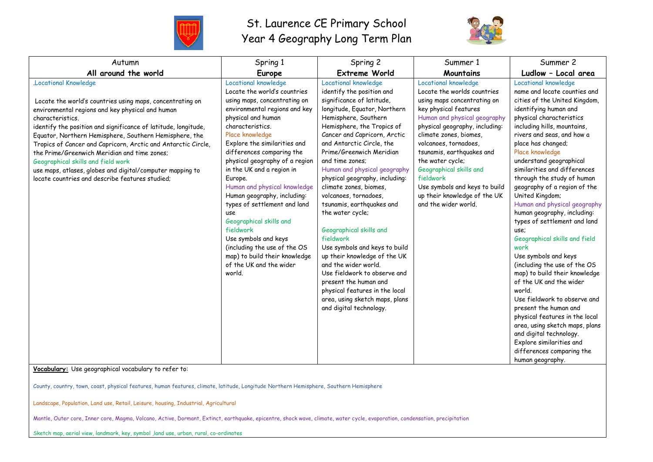

## St. Laurence CE Primary School Year 4 Geography Long Term Plan



| Autumn                                                                                                                                                                                                                                                                                                                                                                                                                                                                                                                                                              | Spring 1                                                                                                                                                                                                                                                                                                                                                                                                                                                                                                                                                                                              | Spring 2                                                                                                                                                                                                                                                                                                                                                                                                                                                                                                                                                                                                                                                                                                                                        | Summer 1                                                                                                                                                                                                                                                                                                                                                                                                           | Summer 2                                                                                                                                                                                                                                                                                                                                                                                                                                                                                                                                                                                                                                                                                                                                                                                                                                                                                                        |
|---------------------------------------------------------------------------------------------------------------------------------------------------------------------------------------------------------------------------------------------------------------------------------------------------------------------------------------------------------------------------------------------------------------------------------------------------------------------------------------------------------------------------------------------------------------------|-------------------------------------------------------------------------------------------------------------------------------------------------------------------------------------------------------------------------------------------------------------------------------------------------------------------------------------------------------------------------------------------------------------------------------------------------------------------------------------------------------------------------------------------------------------------------------------------------------|-------------------------------------------------------------------------------------------------------------------------------------------------------------------------------------------------------------------------------------------------------------------------------------------------------------------------------------------------------------------------------------------------------------------------------------------------------------------------------------------------------------------------------------------------------------------------------------------------------------------------------------------------------------------------------------------------------------------------------------------------|--------------------------------------------------------------------------------------------------------------------------------------------------------------------------------------------------------------------------------------------------------------------------------------------------------------------------------------------------------------------------------------------------------------------|-----------------------------------------------------------------------------------------------------------------------------------------------------------------------------------------------------------------------------------------------------------------------------------------------------------------------------------------------------------------------------------------------------------------------------------------------------------------------------------------------------------------------------------------------------------------------------------------------------------------------------------------------------------------------------------------------------------------------------------------------------------------------------------------------------------------------------------------------------------------------------------------------------------------|
| All around the world                                                                                                                                                                                                                                                                                                                                                                                                                                                                                                                                                | <b>Europe</b>                                                                                                                                                                                                                                                                                                                                                                                                                                                                                                                                                                                         | <b>Extreme World</b>                                                                                                                                                                                                                                                                                                                                                                                                                                                                                                                                                                                                                                                                                                                            | Mountains                                                                                                                                                                                                                                                                                                                                                                                                          | Ludlow - Local area                                                                                                                                                                                                                                                                                                                                                                                                                                                                                                                                                                                                                                                                                                                                                                                                                                                                                             |
| <b>Locational Knowledge</b><br>Locate the world's countries using maps, concentrating on<br>environmental regions and key physical and human<br>characteristics.<br>identify the position and significance of latitude, longitude,<br>Equator, Northern Hemisphere, Southern Hemisphere, the<br>Tropics of Cancer and Capricorn, Arctic and Antarctic Circle,<br>the Prime/Greenwich Meridian and time zones;<br>Geographical skills and field work<br>use maps, atlases, globes and digital/computer mapping to<br>locate countries and describe features studied; | Locational knowledge<br>Locate the world's countries<br>using maps, concentrating on<br>environmental regions and key<br>physical and human<br>characteristics.<br>Place knowledge<br>Explore the similarities and<br>differences comparing the<br>physical geography of a region<br>in the UK and a region in<br>Europe.<br>Human and physical knowledge<br>Human geography, including:<br>types of settlement and land<br>use<br>Geographical skills and<br>fieldwork<br>Use symbols and keys<br>(including the use of the OS<br>map) to build their knowledge<br>of the UK and the wider<br>world. | Locational knowledge<br>identify the position and<br>significance of latitude,<br>longitude, Equator, Northern<br>Hemisphere, Southern<br>Hemisphere, the Tropics of<br>Cancer and Capricorn, Arctic<br>and Antarctic Circle, the<br>Prime/Greenwich Meridian<br>and time zones:<br>Human and physical geography<br>physical geography, including:<br>climate zones, biomes,<br>volcanoes, tornadoes,<br>tsunamis, earthquakes and<br>the water cycle;<br>Geographical skills and<br>fieldwork<br>Use symbols and keys to build<br>up their knowledge of the UK<br>and the wider world.<br>Use fieldwork to observe and<br>present the human and<br>physical features in the local<br>area, using sketch maps, plans<br>and digital technology. | Locational knowledge<br>Locate the worlds countries<br>using maps concentrating on<br>key physical features<br>Human and physical geography<br>physical geography, including:<br>climate zones, biomes,<br>volcanoes, tornadoes,<br>tsunamis, earthquakes and<br>the water cycle;<br>Geographical skills and<br>fieldwork<br>Use symbols and keys to build<br>up their knowledge of the UK<br>and the wider world. | Locational knowledge<br>name and locate counties and<br>cities of the United Kingdom,<br>identifying human and<br>physical characteristics<br>including hills, mountains,<br>rivers and seas, and how a<br>place has changed;<br>Place knowledge<br>understand geographical<br>similarities and differences<br>through the study of human<br>geography of a region of the<br>United Kingdom;<br>Human and physical geography<br>human geography, including:<br>types of settlement and land<br>use:<br>Geographical skills and field<br>work<br>Use symbols and keys<br>(including the use of the OS<br>map) to build their knowledge<br>of the UK and the wider<br>world.<br>Use fieldwork to observe and<br>present the human and<br>physical features in the local<br>area, using sketch maps, plans<br>and digital technology.<br>Explore similarities and<br>differences comparing the<br>human geography. |

**Vocabulary:** Use geographical vocabulary to refer to:

County, country, town, coast, physical features, human features, climate, latitude, Longitude Northern Hemisphere, Southern Hemisphere

Landscape, Population, Land use, Retail, Leisure, housing, Industrial, Agricultural

Mantle, Outer core, Inner core, Magma, Volcano, Active, Dormant, Extinct, earthquake, epicentre, shock wave, climate, water cycle, evaporation, condensation, precipitation

Sketch map, aerial view, landmark, key, symbol ,land use, urban, rural, co-ordinates